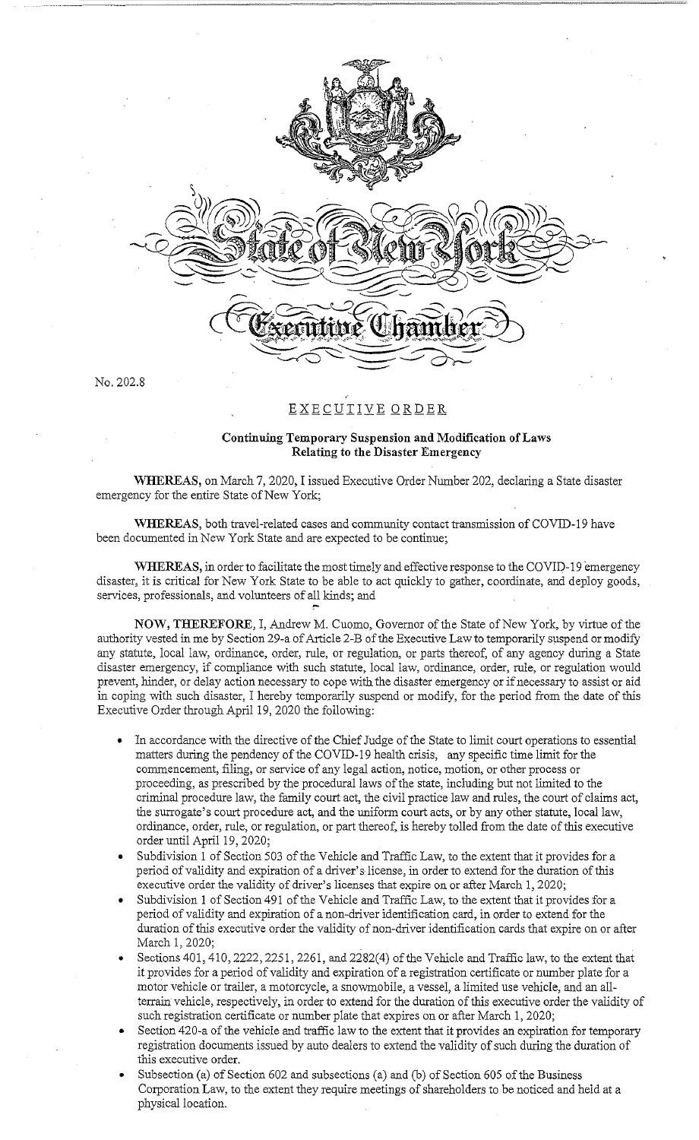

No. 202.8

## EXECUTIVE ORDER

## **Continuing Temporary Suspension and Modification of Laws Relating to the Disaster Emergency**

**WHEREAS,** on March 7, 2020, I issued Executive Order Number 202, declaring a State disaster emergency for the entire State of New York;

WHEREAS, both travel-related cases and community contact transmission of COVID-19 have been documented in New York State and are expected to be continue;

WHEREAS, in order to facilitate the most timely and effective response to the COVID-19 emergency disaster, it is critical for New York State to be able to act quickly to gather, coordinate, and deploy goods, services, professionals, and volunteers of all kinds; and

**NOW, THEREFORE,** I, Andrew M. Cuomo, Governor of the State of New York, by virtue of the authority vested in me by Section 29-a of Article 2-B of the Executive Law to temporarily suspend or modify any statute, local law, ordinance, order, rule, or regulation, or parts thereof, of any agency during a State disaster emergency, if compliance with such statute, local law, ordinance, order, rule, or regulation would prevent, hinder, or delay action necessary to cope with the disaster emergency or if necessary to assist or aid in coping with such disaster, I hereby temporarily suspend or modify, for the period from the date of this Executive Order through April 19, 2020 the following:

- In accordance with the directive of the Chief Judge of the State to limit court operations to essential matters during the pendency of the COVID-19 health crisis, any specific time limit for the commencement, filing, or service of any legal action, notice, motion, or other process or proceeding, as prescribed by the procedural laws of the state, including but not limited to the criminal procedure law, the family court act, the civil practice law and rules, the court of claims act, the surrogate's court procedure act, and the uniform court acts, or by any other statute, local law, ordinance, order, rule, or regulation, or part thereof, is hereby tolled from the date of this executive order until April 19, 2020;
- Subdivision 1 of Section 503 of the Vehicle and Traffic Law, to the extent that it provides for a period of validity and expiration of a driver's license, in order to extend for the duration of this executive order the validity of driver's licenses that expire on or after March 1, 2020;
- Subdivision 1 of Section 491 of the Vehicle and Traffic Law, to the extent that it provides for a period of validity and expiration of a non-driver identification card, in order to extend for the duration of this executive order the validity of non-driver identification cards that expire on or after March 1, 2020;
- Sections 401,410, 2222, 2251, 2261, and 2282(4) of the Vehicle and Traffic law, to the extent that it provides for a period of validity and expiration of a registration certificate or number plate for a motor vehicle or trailer, a motorcycle, a snowmobile, a vessel, a limited use vehicle, and an allterrain vehicle, respectively, in order to extend for the duration of this executive order the validity of such registration certificate or number plate that expires on or after March 1, 2020;
- Section 420-a of the vehicle and traffic law to the extent that it provides an expiration for temporary registration documents issued by auto dealers to extend the validity of such during the duration of this executive order.
- Subsection (a) of Section 602 and subsections (a) and (b) of Section 605 of the Business Corporation Law, to the extent they require meetings of shareholders to be noticed and held at a physical location.